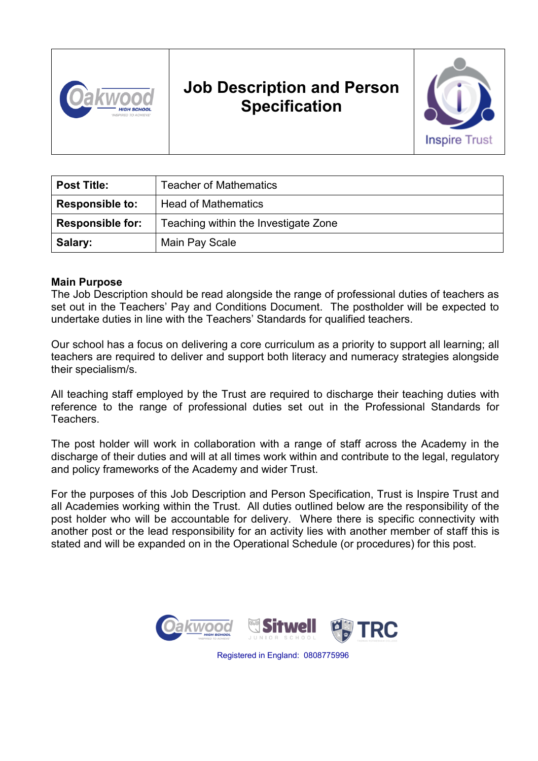

# **Job Description and Person Specification**



| <b>Post Title:</b>      | <b>Teacher of Mathematics</b>        |
|-------------------------|--------------------------------------|
| <b>Responsible to:</b>  | <b>Head of Mathematics</b>           |
| <b>Responsible for:</b> | Teaching within the Investigate Zone |
| Salary:                 | Main Pay Scale                       |

#### **Main Purpose**

The Job Description should be read alongside the range of professional duties of teachers as set out in the Teachers' Pay and Conditions Document. The postholder will be expected to undertake duties in line with the Teachers' Standards for qualified teachers.

Our school has a focus on delivering a core curriculum as a priority to support all learning; all teachers are required to deliver and support both literacy and numeracy strategies alongside their specialism/s.

All teaching staff employed by the Trust are required to discharge their teaching duties with reference to the range of professional duties set out in the Professional Standards for Teachers.

The post holder will work in collaboration with a range of staff across the Academy in the discharge of their duties and will at all times work within and contribute to the legal, regulatory and policy frameworks of the Academy and wider Trust.

For the purposes of this Job Description and Person Specification, Trust is Inspire Trust and all Academies working within the Trust. All duties outlined below are the responsibility of the post holder who will be accountable for delivery. Where there is specific connectivity with another post or the lead responsibility for an activity lies with another member of staff this is stated and will be expanded on in the Operational Schedule (or procedures) for this post.



Registered in England: 0808775996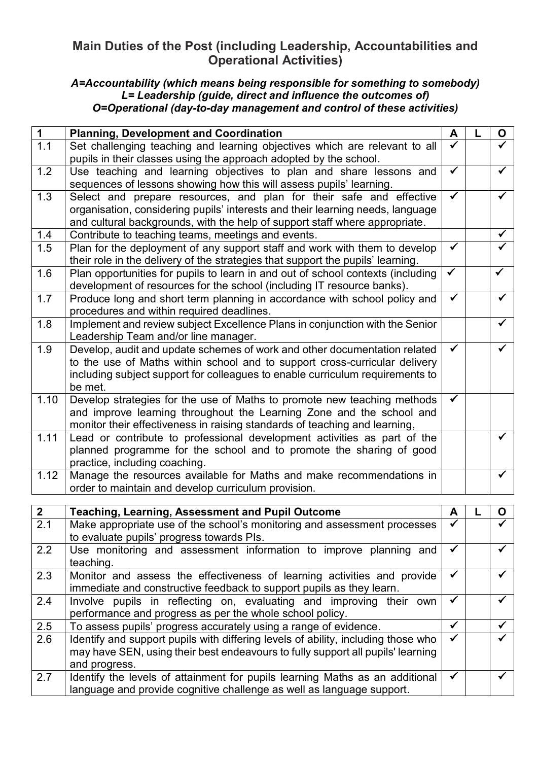# **Main Duties of the Post (including Leadership, Accountabilities and Operational Activities)**

#### *A=Accountability (which means being responsible for something to somebody) L= Leadership (guide, direct and influence the outcomes of) O=Operational (day-to-day management and control of these activities)*

| $\mathbf 1$      | <b>Planning, Development and Coordination</b>                                   |              | O            |
|------------------|---------------------------------------------------------------------------------|--------------|--------------|
| 1.1              | Set challenging teaching and learning objectives which are relevant to all      |              |              |
|                  | pupils in their classes using the approach adopted by the school.               |              |              |
| 1.2              | Use teaching and learning objectives to plan and share lessons and              | $\checkmark$ |              |
|                  | sequences of lessons showing how this will assess pupils' learning.             |              |              |
| 1.3              | Select and prepare resources, and plan for their safe and effective             | $\checkmark$ | $\checkmark$ |
|                  | organisation, considering pupils' interests and their learning needs, language  |              |              |
|                  | and cultural backgrounds, with the help of support staff where appropriate.     |              |              |
| 1.4              | Contribute to teaching teams, meetings and events.                              |              | $\checkmark$ |
| 1.5              | Plan for the deployment of any support staff and work with them to develop      | $\checkmark$ |              |
|                  | their role in the delivery of the strategies that support the pupils' learning. |              |              |
| 1.6              | Plan opportunities for pupils to learn in and out of school contexts (including | $\checkmark$ | $\checkmark$ |
|                  | development of resources for the school (including IT resource banks).          |              |              |
| 1.7              | Produce long and short term planning in accordance with school policy and       |              | $\checkmark$ |
|                  | procedures and within required deadlines.                                       |              |              |
| 1.8              | Implement and review subject Excellence Plans in conjunction with the Senior    |              | $\checkmark$ |
|                  | Leadership Team and/or line manager.                                            |              |              |
| 1.9              | Develop, audit and update schemes of work and other documentation related       | ✓            |              |
|                  | to the use of Maths within school and to support cross-curricular delivery      |              |              |
|                  | including subject support for colleagues to enable curriculum requirements to   |              |              |
|                  | be met.                                                                         |              |              |
| 1.10             | Develop strategies for the use of Maths to promote new teaching methods         | $\checkmark$ |              |
|                  | and improve learning throughout the Learning Zone and the school and            |              |              |
|                  | monitor their effectiveness in raising standards of teaching and learning,      |              |              |
| 1.11             | Lead or contribute to professional development activities as part of the        |              | $\checkmark$ |
|                  | planned programme for the school and to promote the sharing of good             |              |              |
|                  | practice, including coaching.                                                   |              |              |
| 1.12             | Manage the resources available for Maths and make recommendations in            |              | $\checkmark$ |
|                  | order to maintain and develop curriculum provision.                             |              |              |
|                  |                                                                                 |              |              |
| $\mathbf{2}$     | <b>Teaching, Learning, Assessment and Pupil Outcome</b>                         | A            | O            |
| $\sim$ $\lambda$ | Make conveniete use of the sakes l'e meniterine                                 |              |              |

| <b>L</b> | reaching, Learning, Assessment and Fupil Outcome                                  |   |  | ັ            |
|----------|-----------------------------------------------------------------------------------|---|--|--------------|
| 2.1      | Make appropriate use of the school's monitoring and assessment processes          |   |  |              |
|          | to evaluate pupils' progress towards PIs.                                         |   |  |              |
| 2.2      | Use monitoring and assessment information to improve planning and<br>teaching.    |   |  |              |
| 2.3      |                                                                                   |   |  |              |
|          | Monitor and assess the effectiveness of learning activities and provide           |   |  |              |
|          | immediate and constructive feedback to support pupils as they learn.              |   |  |              |
| 2.4      | Involve pupils in reflecting on, evaluating and improving their own               |   |  |              |
|          |                                                                                   |   |  |              |
|          | performance and progress as per the whole school policy.                          |   |  |              |
| 2.5      | To assess pupils' progress accurately using a range of evidence.                  |   |  | $\checkmark$ |
| 2.6      | Identify and support pupils with differing levels of ability, including those who |   |  |              |
|          |                                                                                   |   |  |              |
|          | may have SEN, using their best endeavours to fully support all pupils' learning   |   |  |              |
|          | and progress.                                                                     |   |  |              |
| 2.7      | Identify the levels of attainment for pupils learning Maths as an additional      | ✓ |  |              |
|          | language and provide cognitive challenge as well as language support.             |   |  |              |
|          |                                                                                   |   |  |              |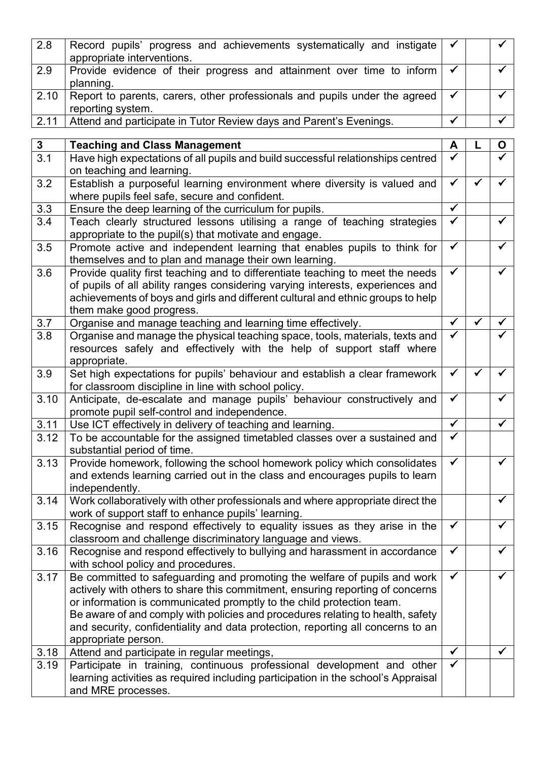| 2.8              | Record pupils' progress and achievements systematically and instigate<br>appropriate interventions.                                                         |              |  | $\checkmark$            |
|------------------|-------------------------------------------------------------------------------------------------------------------------------------------------------------|--------------|--|-------------------------|
| 2.9              | Provide evidence of their progress and attainment over time to inform<br>planning.                                                                          |              |  | $\overline{\checkmark}$ |
| 2.10             | Report to parents, carers, other professionals and pupils under the agreed<br>reporting system.                                                             |              |  | $\checkmark$            |
| 2.11             | Attend and participate in Tutor Review days and Parent's Evenings.                                                                                          |              |  | $\checkmark$            |
| 3 <sup>1</sup>   | <b>Teaching and Class Management</b>                                                                                                                        | A            |  | $\mathbf O$             |
| $\overline{3.1}$ | Have high expectations of all pupils and build successful relationships centred                                                                             |              |  |                         |
|                  | on teaching and learning.                                                                                                                                   |              |  |                         |
| 3.2              | Establish a purposeful learning environment where diversity is valued and<br>where pupils feel safe, secure and confident.                                  |              |  | ✓                       |
| 3.3              | Ensure the deep learning of the curriculum for pupils.                                                                                                      | $\checkmark$ |  |                         |
| 3.4              | Teach clearly structured lessons utilising a range of teaching strategies<br>appropriate to the pupil(s) that motivate and engage.                          |              |  | $\checkmark$            |
| 3.5              | Promote active and independent learning that enables pupils to think for<br>themselves and to plan and manage their own learning.                           |              |  | $\checkmark$            |
| 3.6              | Provide quality first teaching and to differentiate teaching to meet the needs                                                                              | $\checkmark$ |  | $\checkmark$            |
|                  | of pupils of all ability ranges considering varying interests, experiences and                                                                              |              |  |                         |
|                  | achievements of boys and girls and different cultural and ethnic groups to help                                                                             |              |  |                         |
|                  | them make good progress.                                                                                                                                    |              |  |                         |
| 3.7              | Organise and manage teaching and learning time effectively.                                                                                                 | ✓<br>✔       |  |                         |
| 3.8              | Organise and manage the physical teaching space, tools, materials, texts and                                                                                |              |  |                         |
|                  | resources safely and effectively with the help of support staff where<br>appropriate.                                                                       |              |  |                         |
| 3.9              | Set high expectations for pupils' behaviour and establish a clear framework                                                                                 | ✓            |  | $\checkmark$            |
|                  | for classroom discipline in line with school policy.                                                                                                        |              |  |                         |
| 3.10             | Anticipate, de-escalate and manage pupils' behaviour constructively and                                                                                     |              |  | $\checkmark$            |
|                  | promote pupil self-control and independence.                                                                                                                |              |  |                         |
| 3.11             | Use ICT effectively in delivery of teaching and learning.                                                                                                   |              |  | $\checkmark$            |
| 3.12             | To be accountable for the assigned timetabled classes over a sustained and                                                                                  | ✓            |  |                         |
|                  | substantial period of time.                                                                                                                                 |              |  |                         |
| 3.13             | Provide homework, following the school homework policy which consolidates                                                                                   |              |  |                         |
|                  | and extends learning carried out in the class and encourages pupils to learn<br>independently.                                                              |              |  |                         |
| 3.14             | Work collaboratively with other professionals and where appropriate direct the                                                                              |              |  | $\checkmark$            |
|                  | work of support staff to enhance pupils' learning.                                                                                                          |              |  |                         |
| 3.15             | Recognise and respond effectively to equality issues as they arise in the                                                                                   | $\checkmark$ |  | $\checkmark$            |
|                  | classroom and challenge discriminatory language and views.                                                                                                  |              |  |                         |
| 3.16             | Recognise and respond effectively to bullying and harassment in accordance<br>with school policy and procedures.                                            | $\checkmark$ |  | $\checkmark$            |
| 3.17             | Be committed to safeguarding and promoting the welfare of pupils and work                                                                                   | ✓            |  |                         |
|                  | actively with others to share this commitment, ensuring reporting of concerns                                                                               |              |  |                         |
|                  | or information is communicated promptly to the child protection team.                                                                                       |              |  |                         |
|                  | Be aware of and comply with policies and procedures relating to health, safety                                                                              |              |  |                         |
|                  | and security, confidentiality and data protection, reporting all concerns to an                                                                             |              |  |                         |
|                  | appropriate person.                                                                                                                                         |              |  | ✓                       |
| 3.18<br>3.19     | Attend and participate in regular meetings,                                                                                                                 |              |  |                         |
|                  | Participate in training, continuous professional development and other<br>learning activities as required including participation in the school's Appraisal |              |  |                         |
|                  | and MRE processes.                                                                                                                                          |              |  |                         |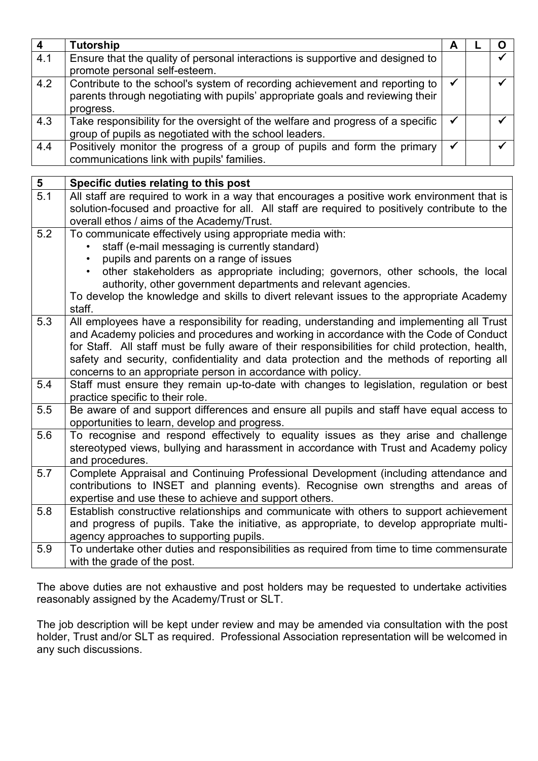| $\overline{\mathbf{4}}$ | <b>Tutorship</b>                                                                                                                                                                                                                                                                                                                                                                                                                                     | A            |  | $\mathbf O$             |  |
|-------------------------|------------------------------------------------------------------------------------------------------------------------------------------------------------------------------------------------------------------------------------------------------------------------------------------------------------------------------------------------------------------------------------------------------------------------------------------------------|--------------|--|-------------------------|--|
| 4.1                     | Ensure that the quality of personal interactions is supportive and designed to<br>promote personal self-esteem.                                                                                                                                                                                                                                                                                                                                      |              |  |                         |  |
| 4.2                     | Contribute to the school's system of recording achievement and reporting to<br>parents through negotiating with pupils' appropriate goals and reviewing their<br>progress.                                                                                                                                                                                                                                                                           |              |  | $\overline{\checkmark}$ |  |
| 4.3                     | Take responsibility for the oversight of the welfare and progress of a specific<br>group of pupils as negotiated with the school leaders.                                                                                                                                                                                                                                                                                                            | $\checkmark$ |  | $\checkmark$            |  |
| 4.4                     | Positively monitor the progress of a group of pupils and form the primary<br>communications link with pupils' families.                                                                                                                                                                                                                                                                                                                              | $\checkmark$ |  | $\checkmark$            |  |
| 5                       | Specific duties relating to this post                                                                                                                                                                                                                                                                                                                                                                                                                |              |  |                         |  |
| 5.1                     | All staff are required to work in a way that encourages a positive work environment that is<br>solution-focused and proactive for all. All staff are required to positively contribute to the<br>overall ethos / aims of the Academy/Trust.                                                                                                                                                                                                          |              |  |                         |  |
| 5.2                     | To communicate effectively using appropriate media with:<br>staff (e-mail messaging is currently standard)<br>pupils and parents on a range of issues<br>other stakeholders as appropriate including; governors, other schools, the local<br>authority, other government departments and relevant agencies.<br>To develop the knowledge and skills to divert relevant issues to the appropriate Academy<br>staff.                                    |              |  |                         |  |
| 5.3                     | All employees have a responsibility for reading, understanding and implementing all Trust<br>and Academy policies and procedures and working in accordance with the Code of Conduct<br>for Staff. All staff must be fully aware of their responsibilities for child protection, health,<br>safety and security, confidentiality and data protection and the methods of reporting all<br>concerns to an appropriate person in accordance with policy. |              |  |                         |  |
| 5.4                     | Staff must ensure they remain up-to-date with changes to legislation, regulation or best<br>practice specific to their role.                                                                                                                                                                                                                                                                                                                         |              |  |                         |  |
| 5.5                     | Be aware of and support differences and ensure all pupils and staff have equal access to<br>opportunities to learn, develop and progress.                                                                                                                                                                                                                                                                                                            |              |  |                         |  |
| 5.6                     | To recognise and respond effectively to equality issues as they arise and challenge<br>stereotyped views, bullying and harassment in accordance with Trust and Academy policy<br>and procedures.                                                                                                                                                                                                                                                     |              |  |                         |  |
| 5.7                     | Complete Appraisal and Continuing Professional Development (including attendance and<br>contributions to INSET and planning events). Recognise own strengths and areas of<br>expertise and use these to achieve and support others.                                                                                                                                                                                                                  |              |  |                         |  |
| 5.8                     | Establish constructive relationships and communicate with others to support achievement<br>and progress of pupils. Take the initiative, as appropriate, to develop appropriate multi-<br>agency approaches to supporting pupils.                                                                                                                                                                                                                     |              |  |                         |  |
| 5.9                     | To undertake other duties and responsibilities as required from time to time commensurate<br>with the grade of the post.                                                                                                                                                                                                                                                                                                                             |              |  |                         |  |

The above duties are not exhaustive and post holders may be requested to undertake activities reasonably assigned by the Academy/Trust or SLT.

The job description will be kept under review and may be amended via consultation with the post holder, Trust and/or SLT as required. Professional Association representation will be welcomed in any such discussions.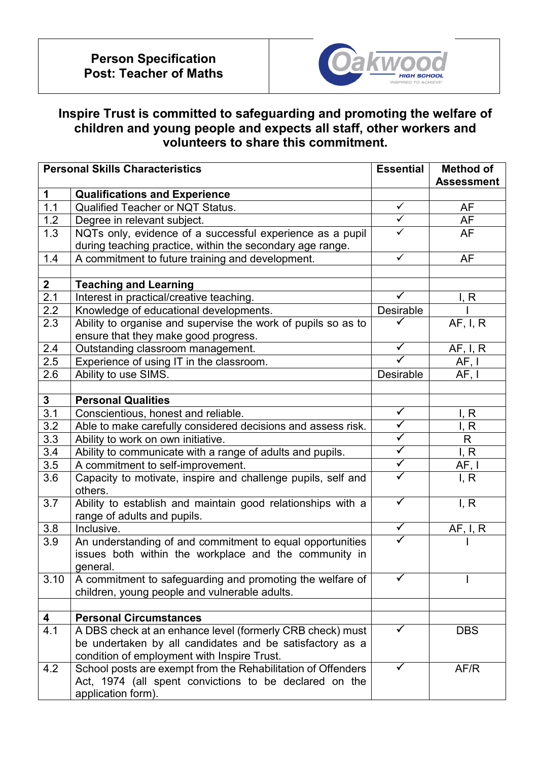

# **Inspire Trust is committed to safeguarding and promoting the welfare of children and young people and expects all staff, other workers and volunteers to share this commitment.**

| <b>Personal Skills Characteristics</b> |                                                               |                         | <b>Essential</b><br><b>Method of</b> |  |
|----------------------------------------|---------------------------------------------------------------|-------------------------|--------------------------------------|--|
|                                        |                                                               |                         | <b>Assessment</b>                    |  |
| $\mathbf 1$                            | <b>Qualifications and Experience</b>                          |                         |                                      |  |
| 1.1                                    | <b>Qualified Teacher or NQT Status.</b>                       | $\checkmark$            | <b>AF</b>                            |  |
| 1.2                                    | Degree in relevant subject.                                   | $\overline{\checkmark}$ | <b>AF</b>                            |  |
| 1.3                                    | NQTs only, evidence of a successful experience as a pupil     | $\checkmark$            | <b>AF</b>                            |  |
|                                        | during teaching practice, within the secondary age range.     |                         |                                      |  |
| 1.4                                    | A commitment to future training and development.              | $\checkmark$            | AF                                   |  |
|                                        |                                                               |                         |                                      |  |
| $\overline{2}$                         | <b>Teaching and Learning</b>                                  |                         |                                      |  |
| 2.1                                    | Interest in practical/creative teaching.                      | ✓                       | I, R                                 |  |
| 2.2                                    | Knowledge of educational developments.                        | Desirable               |                                      |  |
| 2.3                                    | Ability to organise and supervise the work of pupils so as to |                         | AF, I, R                             |  |
|                                        | ensure that they make good progress.                          |                         |                                      |  |
| 2.4                                    | Outstanding classroom management.                             | $\checkmark$            | AF, I, R                             |  |
| 2.5                                    | Experience of using IT in the classroom.                      |                         | AF, I                                |  |
| 2.6                                    | Ability to use SIMS.                                          | Desirable               | AF, I                                |  |
|                                        |                                                               |                         |                                      |  |
| $\mathbf{3}$                           | <b>Personal Qualities</b>                                     |                         |                                      |  |
| 3.1                                    | Conscientious, honest and reliable.                           | $\checkmark$            | I, R                                 |  |
| 3.2                                    | Able to make carefully considered decisions and assess risk.  | $\checkmark$            | I, R                                 |  |
| 3.3                                    | Ability to work on own initiative.                            | $\blacktriangledown$    | R                                    |  |
| $\overline{3.4}$                       | Ability to communicate with a range of adults and pupils.     | $\blacktriangledown$    | I, R                                 |  |
| 3.5                                    | A commitment to self-improvement.                             | $\blacktriangledown$    | AF, I                                |  |
| 3.6                                    | Capacity to motivate, inspire and challenge pupils, self and  | $\checkmark$            | I, R                                 |  |
|                                        | others.                                                       |                         |                                      |  |
| 3.7                                    | Ability to establish and maintain good relationships with a   | $\checkmark$            | I, R                                 |  |
|                                        | range of adults and pupils.                                   |                         |                                      |  |
| 3.8                                    | Inclusive.                                                    | $\blacktriangledown$    | <u>AF, I, R</u>                      |  |
| 3.9                                    | An understanding of and commitment to equal opportunities     | ✓                       |                                      |  |
|                                        | issues both within the workplace and the community in         |                         |                                      |  |
|                                        | general.                                                      |                         |                                      |  |
| 3.10                                   | A commitment to safeguarding and promoting the welfare of     |                         |                                      |  |
|                                        | children, young people and vulnerable adults.                 |                         |                                      |  |
|                                        |                                                               |                         |                                      |  |
| 4                                      | <b>Personal Circumstances</b>                                 |                         |                                      |  |
| 4.1                                    | A DBS check at an enhance level (formerly CRB check) must     | ✓                       | <b>DBS</b>                           |  |
|                                        | be undertaken by all candidates and be satisfactory as a      |                         |                                      |  |
|                                        | condition of employment with Inspire Trust.                   |                         |                                      |  |
| 4.2                                    | School posts are exempt from the Rehabilitation of Offenders  | ✓                       | AF/R                                 |  |
|                                        | Act, 1974 (all spent convictions to be declared on the        |                         |                                      |  |
|                                        | application form).                                            |                         |                                      |  |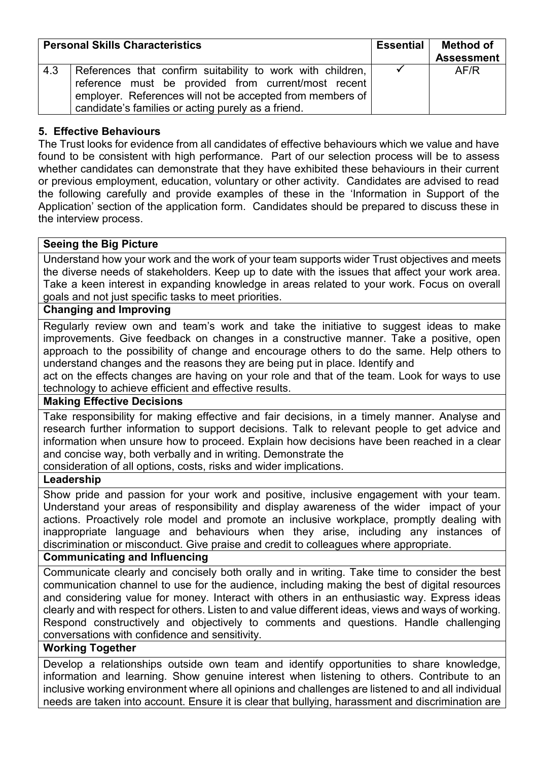| <b>Personal Skills Characteristics</b> |                                                                                                                                                                                                                                      | Essential | <b>Method of</b><br><b>Assessment</b> |
|----------------------------------------|--------------------------------------------------------------------------------------------------------------------------------------------------------------------------------------------------------------------------------------|-----------|---------------------------------------|
| 4.3                                    | References that confirm suitability to work with children,<br>reference must be provided from current/most recent<br>employer. References will not be accepted from members of<br>candidate's families or acting purely as a friend. |           | AF/R                                  |

## **5. Effective Behaviours**

The Trust looks for evidence from all candidates of effective behaviours which we value and have found to be consistent with high performance. Part of our selection process will be to assess whether candidates can demonstrate that they have exhibited these behaviours in their current or previous employment, education, voluntary or other activity. Candidates are advised to read the following carefully and provide examples of these in the 'Information in Support of the Application' section of the application form. Candidates should be prepared to discuss these in the interview process.

## **Seeing the Big Picture**

Understand how your work and the work of your team supports wider Trust objectives and meets the diverse needs of stakeholders. Keep up to date with the issues that affect your work area. Take a keen interest in expanding knowledge in areas related to your work. Focus on overall goals and not just specific tasks to meet priorities.

#### **Changing and Improving**

Regularly review own and team's work and take the initiative to suggest ideas to make improvements. Give feedback on changes in a constructive manner. Take a positive, open approach to the possibility of change and encourage others to do the same. Help others to understand changes and the reasons they are being put in place. Identify and

act on the effects changes are having on your role and that of the team. Look for ways to use technology to achieve efficient and effective results.

## **Making Effective Decisions**

Take responsibility for making effective and fair decisions, in a timely manner. Analyse and research further information to support decisions. Talk to relevant people to get advice and information when unsure how to proceed. Explain how decisions have been reached in a clear and concise way, both verbally and in writing. Demonstrate the

consideration of all options, costs, risks and wider implications.

## **Leadership**

Show pride and passion for your work and positive, inclusive engagement with your team. Understand your areas of responsibility and display awareness of the wider impact of your actions. Proactively role model and promote an inclusive workplace, promptly dealing with inappropriate language and behaviours when they arise, including any instances of discrimination or misconduct. Give praise and credit to colleagues where appropriate.

## **Communicating and Influencing**

Communicate clearly and concisely both orally and in writing. Take time to consider the best communication channel to use for the audience, including making the best of digital resources and considering value for money. Interact with others in an enthusiastic way. Express ideas clearly and with respect for others. Listen to and value different ideas, views and ways of working. Respond constructively and objectively to comments and questions. Handle challenging conversations with confidence and sensitivity.

## **Working Together**

Develop a relationships outside own team and identify opportunities to share knowledge, information and learning. Show genuine interest when listening to others. Contribute to an inclusive working environment where all opinions and challenges are listened to and all individual needs are taken into account. Ensure it is clear that bullying, harassment and discrimination are